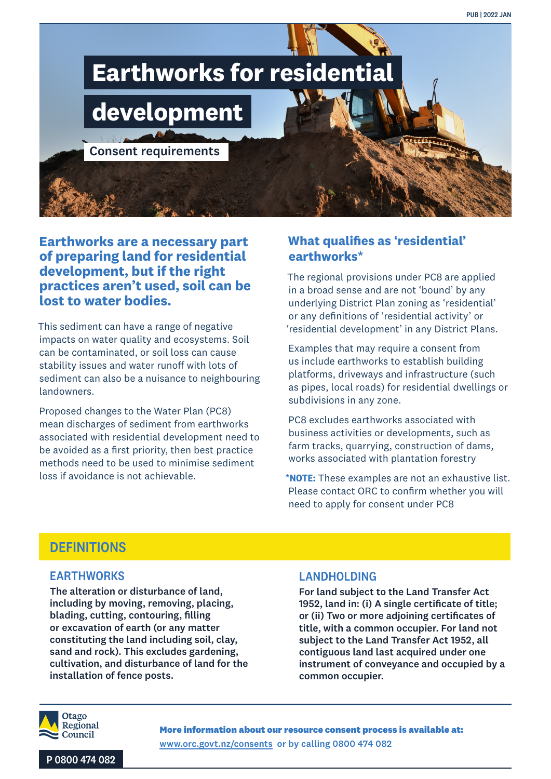

### **Earthworks are a necessary part of preparing land for residential development, but if the right practices aren't used, soil can be lost to water bodies.**

This sediment can have a range of negative impacts on water quality and ecosystems. Soil can be contaminated, or soil loss can cause stability issues and water runoff with lots of sediment can also be a nuisance to neighbouring landowners.

Proposed changes to the Water Plan (PC8) mean discharges of sediment from earthworks associated with residential development need to be avoided as a first priority, then best practice methods need to be used to minimise sediment loss if avoidance is not achievable.

## **What qualifies as 'residential' earthworks\***

The regional provisions under PC8 are applied in a broad sense and are not 'bound' by any underlying District Plan zoning as 'residential' or any definitions of 'residential activity' or 'residential development' in any District Plans.

Examples that may require a consent from us include earthworks to establish building platforms, driveways and infrastructure (such as pipes, local roads) for residential dwellings or subdivisions in any zone.

PC8 excludes earthworks associated with business activities or developments, such as farm tracks, quarrying, construction of dams, works associated with plantation forestry

**\*NOTE:** These examples are not an exhaustive list. Please contact ORC to confirm whether you will need to apply for consent under PC8

# **DEFINITIONS**

#### EARTHWORKS

The alteration or disturbance of land, including by moving, removing, placing, blading, cutting, contouring, filling or excavation of earth (or any matter constituting the land including soil, clay, sand and rock). This excludes gardening, cultivation, and disturbance of land for the installation of fence posts.

#### LANDHOLDING

For land subject to the Land Transfer Act 1952, land in: (i) A single certificate of title; or (ii) Two or more adjoining certificates of title, with a common occupier. For land not subject to the Land Transfer Act 1952, all contiguous land last acquired under one instrument of conveyance and occupied by a common occupier.



**More information about our resource consent process is available at:** www.orc.govt.nz/consents or by calling 0800 474 082

P 0800 474 082